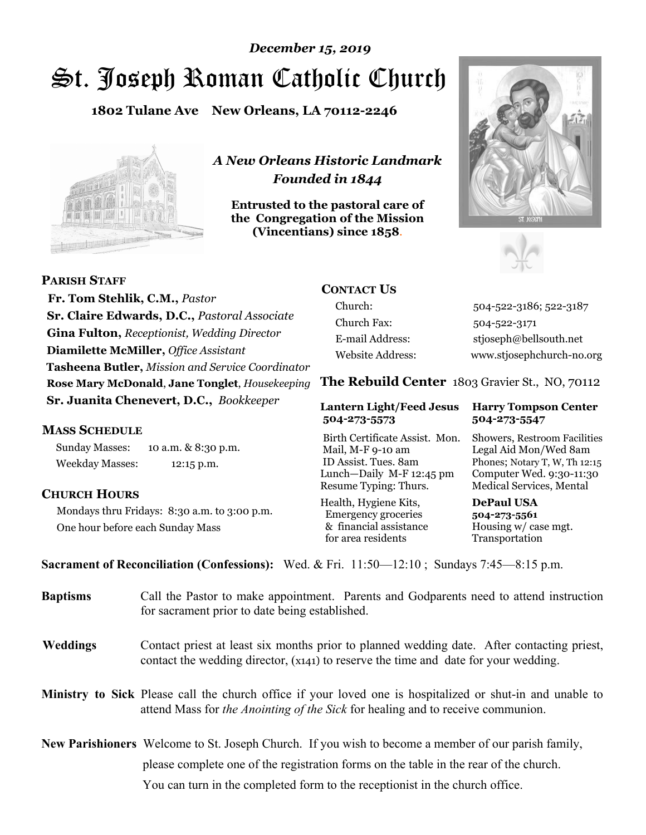# St. Joseph Roman Catholic Church *December 15, 2019*

**1802 Tulane Ave New Orleans, LA 70112-2246**



*A New Orleans Historic Landmark Founded in 1844* 

**Entrusted to the pastoral care of the Congregation of the Mission (Vincentians) since 1858**.





 **Fr. Tom Stehlik, C.M.,** *Pastor* **Sr. Claire Edwards, D.C.,** *Pastoral Associate* **Gina Fulton,** *Receptionist, Wedding Director* **Diamilette McMiller,** *Office Assistant* **Tasheena Butler,** *Mission and Service Coordinator* **Rose Mary McDonald**, **Jane Tonglet**, *Housekeeping* **Sr. Juanita Chenevert, D.C.,** *Bookkeeper* 

#### **MASS SCHEDULE**

**PARISH STAFF**

Sunday Masses: 10 a.m. & 8:30 p.m. Weekday Masses: 12:15 p.m.

### **CHURCH HOURS**

Mondays thru Fridays: 8:30 a.m. to 3:00 p.m. One hour before each Sunday Mass

# **CONTACT US**

Church: 504-522-3186; 522-3187 Church Fax: 504-522-3171 E-mail Address: stjoseph@bellsouth.net Website Address: www.stjosephchurch-no.org

**The Rebuild Center** 1803 Gravier St., NO, 70112

#### **Lantern Light/Feed Jesus Harry Tompson Center 504-273-5573 504-273-5547**

Birth Certificate Assist. Mon. Showers, Restroom Facilities Mail, M-F 9-10 am Legal Aid Mon/Wed 8am ID Assist. Tues. 8am Phones; Notary T, W, Th 12:15 Lunch—Daily M-F 12:45 pm Computer Wed. 9:30-11:30 Resume Typing: Thurs. Medical Services, Mental

Health, Hygiene Kits, **DePaul USA**  Emergency groceries **504-273-5561** & financial assistance Housing w/ case mgt. for area residents Transportation

**Sacrament of Reconciliation (Confessions):** Wed. & Fri. 11:50—12:10 ; Sundays 7:45—8:15 p.m.

| <b>Baptisms</b> | Call the Pastor to make appointment. Parents and Godparents need to attend instruction<br>for sacrament prior to date being established.                                                                   |
|-----------------|------------------------------------------------------------------------------------------------------------------------------------------------------------------------------------------------------------|
| <b>Weddings</b> | Contact priest at least six months prior to planned wedding date. After contacting priest,<br>contact the wedding director, (x141) to reserve the time and date for your wedding.                          |
|                 | <b>Ministry to Sick</b> Please call the church office if your loved one is hospitalized or shut-in and unable to<br>attend Mass for <i>the Anointing of the Sick</i> for healing and to receive communion. |
|                 | <b>New Parishioners</b> Welcome to St. Joseph Church. If you wish to become a member of our parish family,                                                                                                 |
|                 | please complete one of the registration forms on the table in the rear of the church.                                                                                                                      |
|                 | You can turn in the completed form to the reception ist in the church office.                                                                                                                              |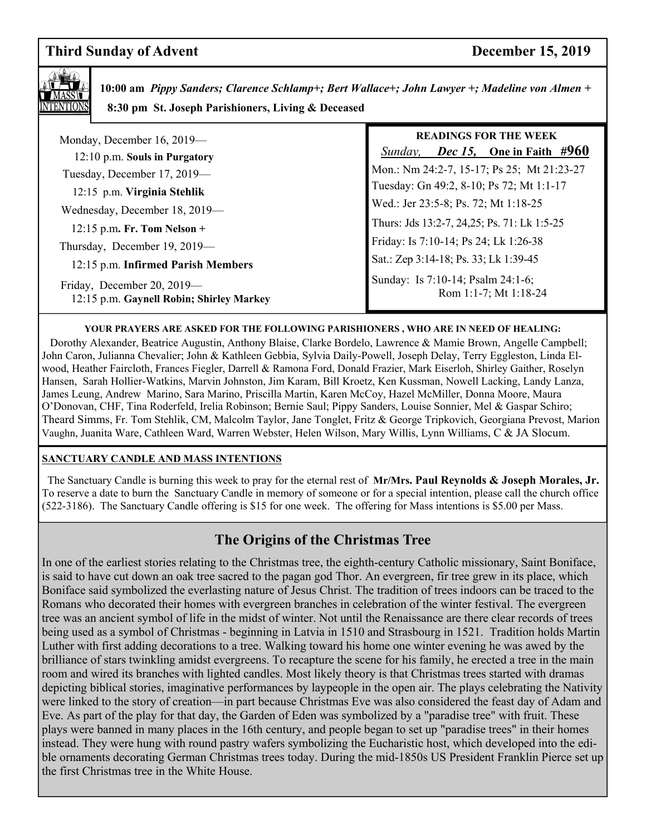# **Third Sunday of Advent December 15, 2019**



 **10:00 am** *Pippy Sanders; Clarence Schlamp+; Bert Wallace+; John Lawyer +; Madeline von Almen +*  **8:30 pm St. Joseph Parishioners, Living & Deceased**

| Monday, December 16, 2019-                                             | <b>READINGS FOR THE WEEK</b><br><i>Dec 15</i> , One in Faith $\#960$<br>Sunday, |
|------------------------------------------------------------------------|---------------------------------------------------------------------------------|
| 12:10 p.m. Souls in Purgatory                                          |                                                                                 |
| Tuesday, December 17, 2019-                                            | Mon.: Nm 24:2-7, 15-17; Ps 25; Mt 21:23-27                                      |
| 12:15 p.m. Virginia Stehlik                                            | Tuesday: Gn 49:2, 8-10; Ps 72; Mt 1:1-17                                        |
| Wednesday, December 18, 2019-                                          | Wed.: Jer 23:5-8; Ps. 72; Mt 1:18-25                                            |
| $12:15$ p.m. Fr. Tom Nelson +                                          | Thurs: Jds 13:2-7, 24,25; Ps. 71: Lk 1:5-25                                     |
| Thursday, December 19, 2019-                                           | Friday: Is 7:10-14; Ps 24; Lk 1:26-38                                           |
| 12:15 p.m. Infirmed Parish Members                                     | Sat.: Zep 3:14-18; Ps. 33; Lk 1:39-45                                           |
| Friday, December 20, 2019-<br>12:15 p.m. Gaynell Robin; Shirley Markey | Sunday: Is 7:10-14; Psalm 24:1-6;<br>Rom 1:1-7; Mt 1:18-24                      |

#### **YOUR PRAYERS ARE ASKED FOR THE FOLLOWING PARISHIONERS , WHO ARE IN NEED OF HEALING:**

 Dorothy Alexander, Beatrice Augustin, Anthony Blaise, Clarke Bordelo, Lawrence & Mamie Brown, Angelle Campbell; John Caron, Julianna Chevalier; John & Kathleen Gebbia, Sylvia Daily-Powell, Joseph Delay, Terry Eggleston, Linda Elwood, Heather Faircloth, Frances Fiegler, Darrell & Ramona Ford, Donald Frazier, Mark Eiserloh, Shirley Gaither, Roselyn Hansen, Sarah Hollier-Watkins, Marvin Johnston, Jim Karam, Bill Kroetz, Ken Kussman, Nowell Lacking, Landy Lanza, James Leung, Andrew Marino, Sara Marino, Priscilla Martin, Karen McCoy, Hazel McMiller, Donna Moore, Maura O'Donovan, CHF, Tina Roderfeld, Irelia Robinson; Bernie Saul; Pippy Sanders, Louise Sonnier, Mel & Gaspar Schiro; Theard Simms, Fr. Tom Stehlik, CM, Malcolm Taylor, Jane Tonglet, Fritz & George Tripkovich, Georgiana Prevost, Marion Vaughn, Juanita Ware, Cathleen Ward, Warren Webster, Helen Wilson, Mary Willis, Lynn Williams, C & JA Slocum.

#### **SANCTUARY CANDLE AND MASS INTENTIONS**

 The Sanctuary Candle is burning this week to pray for the eternal rest of **Mr/Mrs. Paul Reynolds & Joseph Morales, Jr.**  To reserve a date to burn the Sanctuary Candle in memory of someone or for a special intention, please call the church office (522-3186). The Sanctuary Candle offering is \$15 for one week. The offering for Mass intentions is \$5.00 per Mass.

# **The Origins of the Christmas Tree**

In one of the earliest stories relating to the Christmas tree, the eighth-century Catholic missionary, Saint Boniface, is said to have cut down an oak tree sacred to the pagan god Thor. An evergreen, fir tree grew in its place, which Boniface said symbolized the everlasting nature of Jesus Christ. The tradition of trees indoors can be traced to the Romans who decorated their homes with evergreen branches in celebration of the winter festival. The evergreen tree was an ancient symbol of life in the midst of winter. Not until the Renaissance are there clear records of trees being used as a symbol of Christmas - beginning in Latvia in 1510 and Strasbourg in 1521. Tradition holds Martin Luther with first adding decorations to a tree. Walking toward his home one winter evening he was awed by the brilliance of stars twinkling amidst evergreens. To recapture the scene for his family, he erected a tree in the main room and wired its branches with lighted candles. Most likely theory is that Christmas trees started with dramas depicting biblical stories, imaginative performances by laypeople in the open air. The plays celebrating the Nativity were linked to the story of creation—in part because Christmas Eve was also considered the feast day of Adam and Eve. As part of the play for that day, the Garden of Eden was symbolized by a "paradise tree" with fruit. These plays were banned in many places in the 16th century, and people began to set up "paradise trees" in their homes instead. They were hung with round pastry wafers symbolizing the Eucharistic host, which developed into the edible ornaments decorating German Christmas trees today. During the mid-1850s US President Franklin Pierce set up the first Christmas tree in the White House.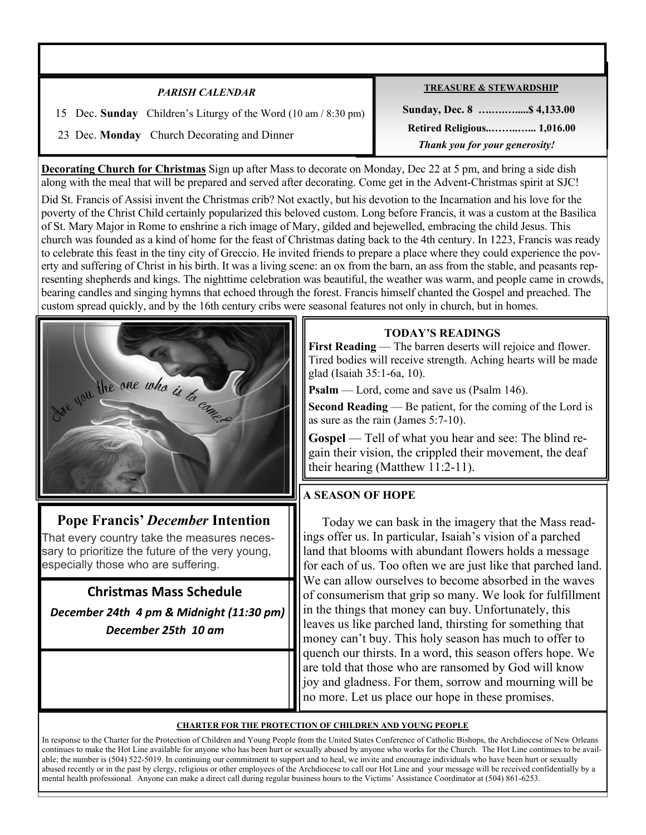| <b>PARISH CALENDAR</b>                                          | <b>TREASURE &amp; STEWARDSHIP</b> |
|-----------------------------------------------------------------|-----------------------------------|
| 15 Dec. Sunday Children's Liturgy of the Word (10 am / 8:30 pm) |                                   |
| 23 Dec. Monday Church Decorating and Dinner                     | <b>Retired Religious 1,016.00</b> |
|                                                                 | Thank you for your generosity!    |

**Decorating Church for Christmas** Sign up after Mass to decorate on Monday, Dec 22 at 5 pm, and bring a side dish along with the meal that will be prepared and served after decorating. Come get in the Advent-Christmas spirit at SJC!

Did St. Francis of Assisi invent the Christmas crib? Not exactly, but his devotion to the Incarnation and his love for the poverty of the Christ Child certainly popularized this beloved custom. Long before Francis, it was a custom at the Basilica of St. Mary Major in Rome to enshrine a rich image of Mary, gilded and bejewelled, embracing the child Jesus. This church was founded as a kind of home for the feast of Christmas dating back to the 4th century. In 1223, Francis was ready to celebrate this feast in the tiny city of Greccio. He invited friends to prepare a place where they could experience the poverty and suffering of Christ in his birth. It was a living scene: an ox from the barn, an ass from the stable, and peasants representing shepherds and kings. The nighttime celebration was beautiful, the weather was warm, and people came in crowds, bearing candles and singing hymns that echoed through the forest. Francis himself chanted the Gospel and preached. The custom spread quickly, and by the 16th century cribs were seasonal features not only in church, but in homes.



# **Pope Francis'** *December* **Intention**

That every country take the measures necessary to prioritize the future of the very young, especially those who are suffering.

**Christmas Mass Schedule**   *December 24th 4 pm & Midnight (11:30 pm) December 25th 10 am* 

# **TODAY'S READINGS**

**First Reading** — The barren deserts will rejoice and flower. Tired bodies will receive strength. Aching hearts will be made glad (Isaiah 35:1-6a, 10).

**Psalm** — Lord, come and save us (Psalm 146).

**Second Reading** — Be patient, for the coming of the Lord is as sure as the rain (James 5:7-10).

**Gospel** — Tell of what you hear and see: The blind regain their vision, the crippled their movement, the deaf their hearing (Matthew 11:2-11).

# **A SEASON OF HOPE**

 Today we can bask in the imagery that the Mass readings offer us. In particular, Isaiah's vision of a parched land that blooms with abundant flowers holds a message for each of us. Too often we are just like that parched land. We can allow ourselves to become absorbed in the waves of consumerism that grip so many. We look for fulfillment in the things that money can buy. Unfortunately, this leaves us like parched land, thirsting for something that money can't buy. This holy season has much to offer to quench our thirsts. In a word, this season offers hope. We are told that those who are ransomed by God will know joy and gladness. For them, sorrow and mourning will be no more. Let us place our hope in these promises.

#### **CHARTER FOR THE PROTECTION OF CHILDREN AND YOUNG PEOPLE**

In response to the Charter for the Protection of Children and Young People from the United States Conference of Catholic Bishops, the Archdiocese of New Orleans continues to make the Hot Line available for anyone who has been hurt or sexually abused by anyone who works for the Church. The Hot Line continues to be available; the number is (504) 522-5019. In continuing our commitment to support and to heal, we invite and encourage individuals who have been hurt or sexually abused recently or in the past by clergy, religious or other employees of the Archdiocese to call our Hot Line and your message will be received confidentially by a mental health professional. Anyone can make a direct call during regular business hours to the Victims' Assistance Coordinator at (504) 861-6253.